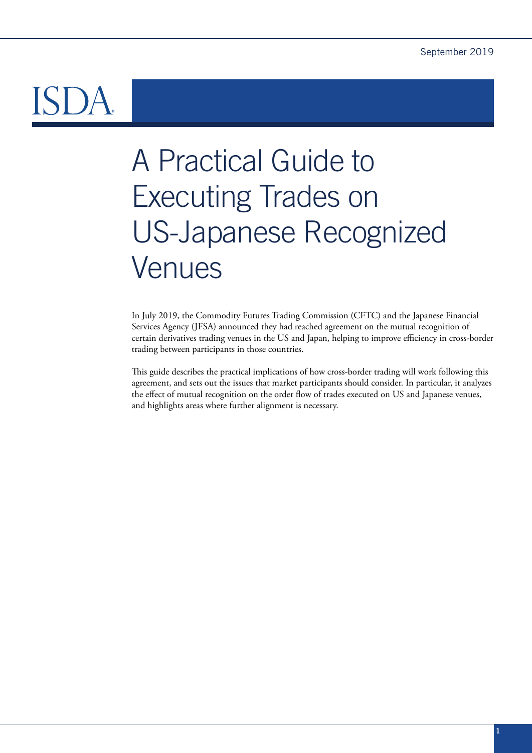# A Practical Guide to Executing Trades on US-Japanese Recognized Venues

In July 2019, the Commodity Futures Trading Commission (CFTC) and the Japanese Financial Services Agency (JFSA) announced they had reached agreement on the mutual recognition of certain derivatives trading venues in the US and Japan, helping to improve efficiency in cross-border trading between participants in those countries.

This guide describes the practical implications of how cross-border trading will work following this agreement, and sets out the issues that market participants should consider. In particular, it analyzes the effect of mutual recognition on the order flow of trades executed on US and Japanese venues, and highlights areas where further alignment is necessary.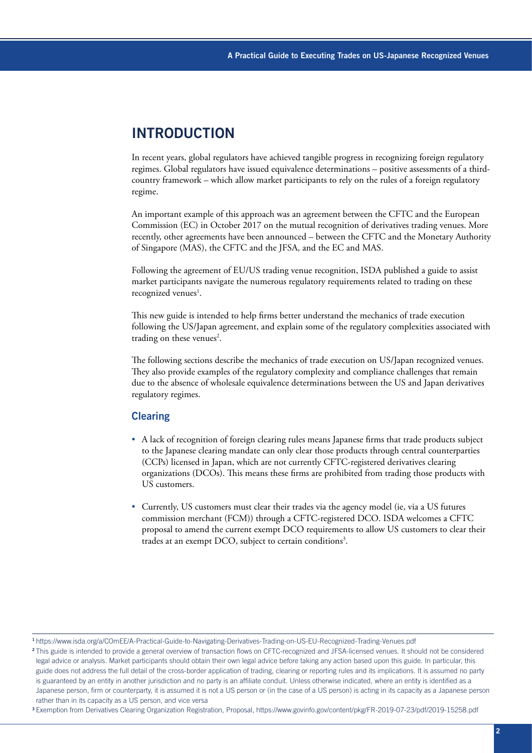### **INTRODUCTION**

In recent years, global regulators have achieved tangible progress in recognizing foreign regulatory regimes. Global regulators have issued equivalence determinations – positive assessments of a thirdcountry framework – which allow market participants to rely on the rules of a foreign regulatory regime.

An important example of this approach was an agreement between the CFTC and the European Commission (EC) in October 2017 on the mutual recognition of derivatives trading venues. More recently, other agreements have been announced – between the CFTC and the Monetary Authority of Singapore (MAS), the CFTC and the JFSA, and the EC and MAS.

Following the agreement of EU/US trading venue recognition, ISDA published a guide to assist market participants navigate the numerous regulatory requirements related to trading on these recognized venues<sup>1</sup>.

This new guide is intended to help firms better understand the mechanics of trade execution following the US/Japan agreement, and explain some of the regulatory complexities associated with trading on these venues<sup>2</sup>.

The following sections describe the mechanics of trade execution on US/Japan recognized venues. They also provide examples of the regulatory complexity and compliance challenges that remain due to the absence of wholesale equivalence determinations between the US and Japan derivatives regulatory regimes.

### **Clearing**

- A lack of recognition of foreign clearing rules means Japanese firms that trade products subject to the Japanese clearing mandate can only clear those products through central counterparties (CCPs) licensed in Japan, which are not currently CFTC-registered derivatives clearing organizations (DCOs). This means these firms are prohibited from trading those products with US customers.
- Currently, US customers must clear their trades via the agency model (ie, via a US futures commission merchant (FCM)) through a CFTC-registered DCO. ISDA welcomes a CFTC proposal to amend the current exempt DCO requirements to allow US customers to clear their trades at an exempt DCO, subject to certain conditions<sup>3</sup>.

<sup>1</sup><https://www.isda.org/a/COmEE/A-Practical-Guide-to-Navigating-Derivatives-Trading-on-US-EU-Recognized-Trading-Venues.pdf>

<sup>&</sup>lt;sup>2</sup>This guide is intended to provide a general overview of transaction flows on CFTC-recognized and JFSA-licensed venues. It should not be considered legal advice or analysis. Market participants should obtain their own legal advice before taking any action based upon this guide. In particular, this guide does not address the full detail of the cross-border application of trading, clearing or reporting rules and its implications. It is assumed no party is guaranteed by an entity in another jurisdiction and no party is an affiliate conduit. Unless otherwise indicated, where an entity is identified as a Japanese person, firm or counterparty, it is assumed it is not a US person or (in the case of a US person) is acting in its capacity as a Japanese person rather than in its capacity as a US person, and vice versa

[<sup>3</sup>](https://www.govinfo.gov/content/pkg/FR-2019-07-23/pdf/2019-15258.pdf) Exemption from Derivatives Clearing Organization Registration, Proposal, <https://www.govinfo.gov/content/pkg/FR-2019-07-23/pdf/2019-15258.pdf>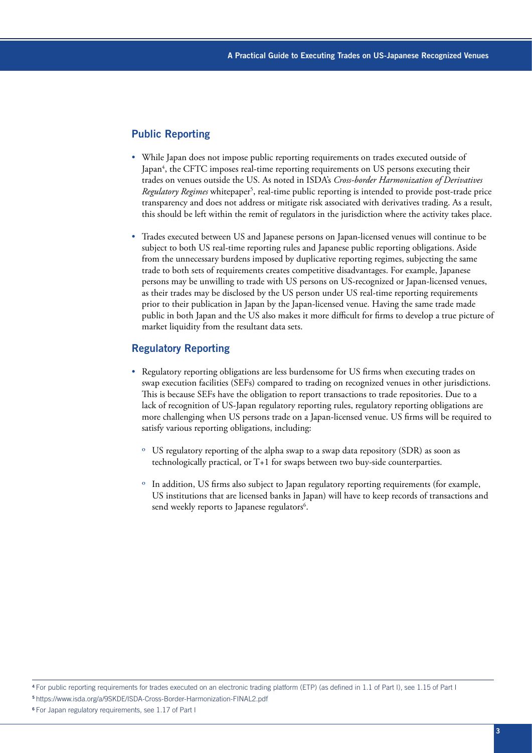#### Public Reporting

- While Japan does not impose public reporting requirements on trades executed outside of Japan<sup>4</sup>, the CFTC imposes real-time reporting requirements on US persons executing their trades on venues outside the US. As noted in ISDA's *Cross-border Harmonization of Derivatives*  Regulatory Regimes whitepaper<sup>5</sup>, real-time public reporting is intended to provide post-trade price transparency and does not address or mitigate risk associated with derivatives trading. As a result, this should be left within the remit of regulators in the jurisdiction where the activity takes place.
- Trades executed between US and Japanese persons on Japan-licensed venues will continue to be subject to both US real-time reporting rules and Japanese public reporting obligations. Aside from the unnecessary burdens imposed by duplicative reporting regimes, subjecting the same trade to both sets of requirements creates competitive disadvantages. For example, Japanese persons may be unwilling to trade with US persons on US-recognized or Japan-licensed venues, as their trades may be disclosed by the US person under US real-time reporting requirements prior to their publication in Japan by the Japan-licensed venue. Having the same trade made public in both Japan and the US also makes it more difficult for firms to develop a true picture of market liquidity from the resultant data sets.

#### Regulatory Reporting

- Regulatory reporting obligations are less burdensome for US firms when executing trades on swap execution facilities (SEFs) compared to trading on recognized venues in other jurisdictions. This is because SEFs have the obligation to report transactions to trade repositories. Due to a lack of recognition of US-Japan regulatory reporting rules, regulatory reporting obligations are more challenging when US persons trade on a Japan-licensed venue. US firms will be required to satisfy various reporting obligations, including:
	- º US regulatory reporting of the alpha swap to a swap data repository (SDR) as soon as technologically practical, or T+1 for swaps between two buy-side counterparties.
	- º In addition, US firms also subject to Japan regulatory reporting requirements (for example, US institutions that are licensed banks in Japan) will have to keep records of transactions and send weekly reports to Japanese regulators<sup>6</sup>.

<sup>4</sup>For public reporting requirements for trades executed on an electronic trading platform (ETP) (as defined in 1.1 of Part I), see 1.15 of Part I <sup>5</sup><https://www.isda.org/a/9SKDE/ISDA-Cross-Border-Harmonization-FINAL2.pdf>

<sup>6</sup> For Japan regulatory requirements, see 1.17 of Part I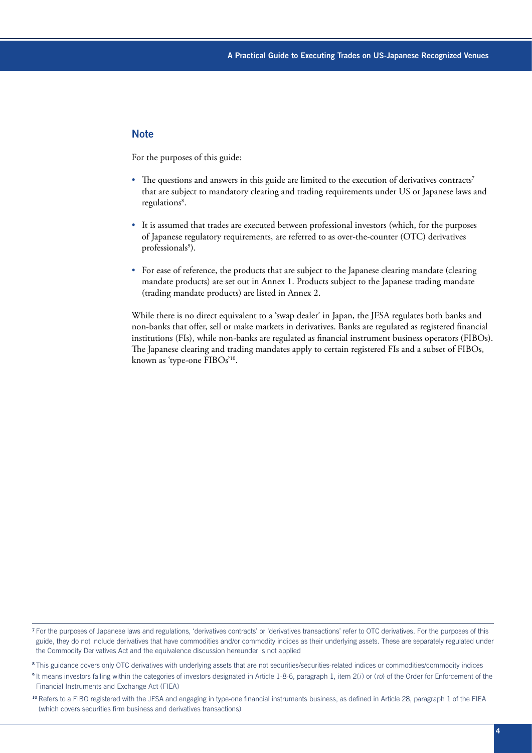### **Note**

For the purposes of this guide:

- The questions and answers in this guide are limited to the execution of derivatives contracts<sup>7</sup> that are subject to mandatory clearing and trading requirements under US or Japanese laws and regulations<sup>8</sup>.
- It is assumed that trades are executed between professional investors (which, for the purposes of Japanese regulatory requirements, are referred to as over-the-counter (OTC) derivatives professionals<sup>9</sup>).
- For ease of reference, the products that are subject to the Japanese clearing mandate (clearing mandate products) are set out in Annex 1. Products subject to the Japanese trading mandate (trading mandate products) are listed in Annex 2.

While there is no direct equivalent to a 'swap dealer' in Japan, the JFSA regulates both banks and non-banks that offer, sell or make markets in derivatives. Banks are regulated as registered financial institutions (FIs), while non-banks are regulated as financial instrument business operators (FIBOs). The Japanese clearing and trading mandates apply to certain registered FIs and a subset of FIBOs, known as 'type-one FIBOs'10.

<sup>7</sup>For the purposes of Japanese laws and regulations, 'derivatives contracts' or 'derivatives transactions' refer to OTC derivatives. For the purposes of this guide, they do not include derivatives that have commodities and/or commodity indices as their underlying assets. These are separately regulated under the Commodity Derivatives Act and the equivalence discussion hereunder is not applied

<sup>&</sup>lt;sup>8</sup>This guidance covers only OTC derivatives with underlying assets that are not securities/securities-related indices or commodities/commodity indices

<sup>9</sup>It means investors falling within the categories of investors designated in Article 1-8-6, paragraph 1, item 2(*i*) or (*ro*) of the Order for Enforcement of the Financial Instruments and Exchange Act (FIEA)

<sup>&</sup>lt;sup>10</sup> Refers to a FIBO registered with the JFSA and engaging in type-one financial instruments business, as defined in Article 28, paragraph 1 of the FIEA (which covers securities firm business and derivatives transactions)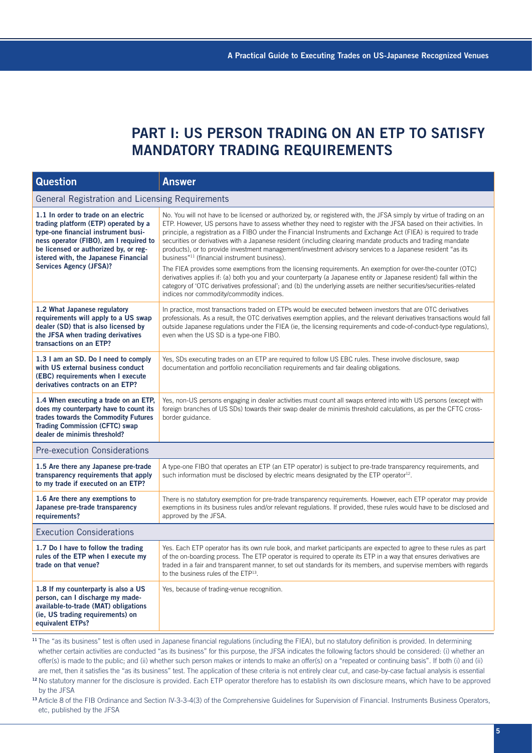## **PART I: US PERSON TRADING ON AN ETP TO SATISFY MANDATORY TRADING REQUIREMENTS**

| <b>Question</b>                                                                                                                                                                                                                                                                  | <b>Answer</b>                                                                                                                                                                                                                                                                                                                                                                                                                                                                                                                                                                                                                                                                                                                                                                                                                                                                                                                                                                                                                                                   |  |
|----------------------------------------------------------------------------------------------------------------------------------------------------------------------------------------------------------------------------------------------------------------------------------|-----------------------------------------------------------------------------------------------------------------------------------------------------------------------------------------------------------------------------------------------------------------------------------------------------------------------------------------------------------------------------------------------------------------------------------------------------------------------------------------------------------------------------------------------------------------------------------------------------------------------------------------------------------------------------------------------------------------------------------------------------------------------------------------------------------------------------------------------------------------------------------------------------------------------------------------------------------------------------------------------------------------------------------------------------------------|--|
| General Registration and Licensing Requirements                                                                                                                                                                                                                                  |                                                                                                                                                                                                                                                                                                                                                                                                                                                                                                                                                                                                                                                                                                                                                                                                                                                                                                                                                                                                                                                                 |  |
| 1.1 In order to trade on an electric<br>trading platform (ETP) operated by a<br>type-one financial instrument busi-<br>ness operator (FIBO), am I required to<br>be licensed or authorized by, or reg-<br>istered with, the Japanese Financial<br><b>Services Agency (JFSA)?</b> | No. You will not have to be licensed or authorized by, or registered with, the JFSA simply by virtue of trading on an<br>ETP. However, US persons have to assess whether they need to register with the JFSA based on their activities. In<br>principle, a registration as a FIBO under the Financial Instruments and Exchange Act (FIEA) is required to trade<br>securities or derivatives with a Japanese resident (including clearing mandate products and trading mandate<br>products), or to provide investment management/investment advisory services to a Japanese resident "as its<br>business" <sup>11</sup> (financial instrument business).<br>The FIEA provides some exemptions from the licensing requirements. An exemption for over-the-counter (OTC)<br>derivatives applies if: (a) both you and your counterparty (a Japanese entity or Japanese resident) fall within the<br>category of 'OTC derivatives professional'; and (b) the underlying assets are neither securities/securities-related<br>indices nor commodity/commodity indices. |  |
| 1.2 What Japanese regulatory<br>requirements will apply to a US swap<br>dealer (SD) that is also licensed by<br>the JFSA when trading derivatives<br>transactions on an ETP?                                                                                                     | In practice, most transactions traded on ETPs would be executed between investors that are OTC derivatives<br>professionals. As a result, the OTC derivatives exemption applies, and the relevant derivatives transactions would fall<br>outside Japanese regulations under the FIEA (ie, the licensing requirements and code-of-conduct-type regulations).<br>even when the US SD is a type-one FIBO.                                                                                                                                                                                                                                                                                                                                                                                                                                                                                                                                                                                                                                                          |  |
| 1.3 I am an SD. Do I need to comply<br>with US external business conduct<br>(EBC) requirements when I execute<br>derivatives contracts on an ETP?                                                                                                                                | Yes, SDs executing trades on an ETP are required to follow US EBC rules. These involve disclosure, swap<br>documentation and portfolio reconciliation requirements and fair dealing obligations.                                                                                                                                                                                                                                                                                                                                                                                                                                                                                                                                                                                                                                                                                                                                                                                                                                                                |  |
| 1.4 When executing a trade on an ETP,<br>does my counterparty have to count its<br>trades towards the Commodity Futures<br><b>Trading Commission (CFTC) swap</b><br>dealer de minimis threshold?                                                                                 | Yes, non-US persons engaging in dealer activities must count all swaps entered into with US persons (except with<br>foreign branches of US SDs) towards their swap dealer de minimis threshold calculations, as per the CFTC cross-<br>border guidance.                                                                                                                                                                                                                                                                                                                                                                                                                                                                                                                                                                                                                                                                                                                                                                                                         |  |
| <b>Pre-execution Considerations</b>                                                                                                                                                                                                                                              |                                                                                                                                                                                                                                                                                                                                                                                                                                                                                                                                                                                                                                                                                                                                                                                                                                                                                                                                                                                                                                                                 |  |
| 1.5 Are there any Japanese pre-trade<br>transparency requirements that apply<br>to my trade if executed on an ETP?                                                                                                                                                               | A type-one FIBO that operates an ETP (an ETP operator) is subject to pre-trade transparency requirements, and<br>such information must be disclosed by electric means designated by the ETP operator <sup>12</sup> .                                                                                                                                                                                                                                                                                                                                                                                                                                                                                                                                                                                                                                                                                                                                                                                                                                            |  |
| 1.6 Are there any exemptions to<br>Japanese pre-trade transparency<br>requirements?                                                                                                                                                                                              | There is no statutory exemption for pre-trade transparency requirements. However, each ETP operator may provide<br>exemptions in its business rules and/or relevant regulations. If provided, these rules would have to be disclosed and<br>approved by the JFSA.                                                                                                                                                                                                                                                                                                                                                                                                                                                                                                                                                                                                                                                                                                                                                                                               |  |
| <b>Execution Considerations</b>                                                                                                                                                                                                                                                  |                                                                                                                                                                                                                                                                                                                                                                                                                                                                                                                                                                                                                                                                                                                                                                                                                                                                                                                                                                                                                                                                 |  |
| 1.7 Do I have to follow the trading<br>rules of the ETP when I execute my<br>trade on that venue?                                                                                                                                                                                | Yes. Each ETP operator has its own rule book, and market participants are expected to agree to these rules as part<br>of the on-boarding process. The ETP operator is required to operate its ETP in a way that ensures derivatives are<br>traded in a fair and transparent manner, to set out standards for its members, and supervise members with regards<br>to the business rules of the ETP <sup>13</sup> .                                                                                                                                                                                                                                                                                                                                                                                                                                                                                                                                                                                                                                                |  |
| 1.8 If my counterparty is also a US<br>person, can I discharge my made-<br>available-to-trade (MAT) obligations<br>(ie, US trading requirements) on<br>equivalent ETPs?                                                                                                          | Yes, because of trading-venue recognition.                                                                                                                                                                                                                                                                                                                                                                                                                                                                                                                                                                                                                                                                                                                                                                                                                                                                                                                                                                                                                      |  |

<sup>11</sup> The "as its business" test is often used in Japanese financial regulations (including the FIEA), but no statutory definition is provided. In determining whether certain activities are conducted "as its business" for this purpose, the JFSA indicates the following factors should be considered: (i) whether an offer(s) is made to the public; and (ii) whether such person makes or intends to make an offer(s) on a "repeated or continuing basis". If both (i) and (ii) are met, then it satisfies the "as its business" test. The application of these criteria is not entirely clear cut, and case-by-case factual analysis is essential

<sup>12</sup> No statutory manner for the disclosure is provided. Each ETP operator therefore has to establish its own disclosure means, which have to be approved by the JFSA

13 Article 8 of the FIB Ordinance and Section IV-3-3-4(3) of the Comprehensive Guidelines for Supervision of Financial. Instruments Business Operators, etc, published by the JFSA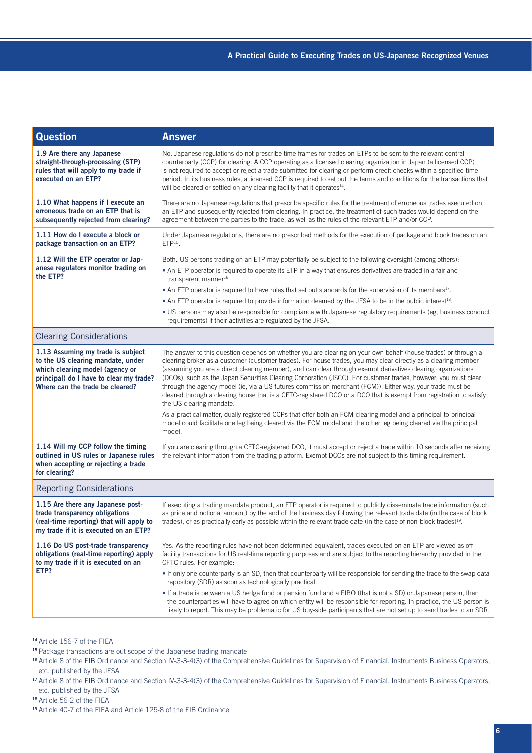| <b>Question</b>                                                                                                                                                                         | <b>Answer</b>                                                                                                                                                                                                                                                                                                                                                                                                                                                                                                                                                                                                                                                                                                                      |  |
|-----------------------------------------------------------------------------------------------------------------------------------------------------------------------------------------|------------------------------------------------------------------------------------------------------------------------------------------------------------------------------------------------------------------------------------------------------------------------------------------------------------------------------------------------------------------------------------------------------------------------------------------------------------------------------------------------------------------------------------------------------------------------------------------------------------------------------------------------------------------------------------------------------------------------------------|--|
| 1.9 Are there any Japanese<br>straight-through-processing (STP)<br>rules that will apply to my trade if<br>executed on an ETP?                                                          | No. Japanese regulations do not prescribe time frames for trades on ETPs to be sent to the relevant central<br>counterparty (CCP) for clearing. A CCP operating as a licensed clearing organization in Japan (a licensed CCP)<br>is not required to accept or reject a trade submitted for clearing or perform credit checks within a specified time<br>period. In its business rules, a licensed CCP is required to set out the terms and conditions for the transactions that<br>will be cleared or settled on any clearing facility that it operates <sup>14</sup> .                                                                                                                                                            |  |
| 1.10 What happens if I execute an<br>erroneous trade on an ETP that is<br>subsequently rejected from clearing?                                                                          | There are no Japanese regulations that prescribe specific rules for the treatment of erroneous trades executed on<br>an ETP and subsequently rejected from clearing. In practice, the treatment of such trades would depend on the<br>agreement between the parties to the trade, as well as the rules of the relevant ETP and/or CCP.                                                                                                                                                                                                                                                                                                                                                                                             |  |
| 1.11 How do I execute a block or<br>package transaction on an ETP?                                                                                                                      | Under Japanese regulations, there are no prescribed methods for the execution of package and block trades on an<br>$ETP15$ .                                                                                                                                                                                                                                                                                                                                                                                                                                                                                                                                                                                                       |  |
| 1.12 Will the ETP operator or Jap-                                                                                                                                                      | Both. US persons trading on an ETP may potentially be subject to the following oversight (among others):                                                                                                                                                                                                                                                                                                                                                                                                                                                                                                                                                                                                                           |  |
| anese regulators monitor trading on<br>the ETP?                                                                                                                                         | • An ETP operator is required to operate its ETP in a way that ensures derivatives are traded in a fair and<br>transparent manner <sup>16</sup> .                                                                                                                                                                                                                                                                                                                                                                                                                                                                                                                                                                                  |  |
|                                                                                                                                                                                         | • An ETP operator is required to have rules that set out standards for the supervision of its members <sup>17</sup> .                                                                                                                                                                                                                                                                                                                                                                                                                                                                                                                                                                                                              |  |
|                                                                                                                                                                                         | • An ETP operator is required to provide information deemed by the JFSA to be in the public interest <sup>18</sup> .                                                                                                                                                                                                                                                                                                                                                                                                                                                                                                                                                                                                               |  |
|                                                                                                                                                                                         | . US persons may also be responsible for compliance with Japanese regulatory requirements (eg, business conduct<br>requirements) if their activities are regulated by the JFSA.                                                                                                                                                                                                                                                                                                                                                                                                                                                                                                                                                    |  |
| <b>Clearing Considerations</b>                                                                                                                                                          |                                                                                                                                                                                                                                                                                                                                                                                                                                                                                                                                                                                                                                                                                                                                    |  |
| 1.13 Assuming my trade is subject<br>to the US clearing mandate, under<br>which clearing model (agency or<br>principal) do I have to clear my trade?<br>Where can the trade be cleared? | The answer to this question depends on whether you are clearing on your own behalf (house trades) or through a<br>clearing broker as a customer (customer trades). For house trades, you may clear directly as a clearing member<br>(assuming you are a direct clearing member), and can clear through exempt derivatives clearing organizations<br>(DCOs), such as the Japan Securities Clearing Corporation (JSCC). For customer trades, however, you must clear<br>through the agency model (ie, via a US futures commission merchant (FCM)). Either way, your trade must be<br>cleared through a clearing house that is a CFTC-registered DCO or a DCO that is exempt from registration to satisfy<br>the US clearing mandate. |  |
|                                                                                                                                                                                         | As a practical matter, dually registered CCPs that offer both an FCM clearing model and a principal-to-principal<br>model could facilitate one leg being cleared via the FCM model and the other leg being cleared via the principal<br>model.                                                                                                                                                                                                                                                                                                                                                                                                                                                                                     |  |
| 1.14 Will my CCP follow the timing<br>outlined in US rules or Japanese rules<br>when accepting or rejecting a trade<br>for clearing?                                                    | If you are clearing through a CFTC-registered DCO, it must accept or reject a trade within 10 seconds after receiving<br>the relevant information from the trading platform. Exempt DCOs are not subject to this timing requirement.                                                                                                                                                                                                                                                                                                                                                                                                                                                                                               |  |
| <b>Reporting Considerations</b>                                                                                                                                                         |                                                                                                                                                                                                                                                                                                                                                                                                                                                                                                                                                                                                                                                                                                                                    |  |
| 1.15 Are there any Japanese post-<br>trade transparency obligations<br>(real-time reporting) that will apply to<br>my trade if it is executed on an ETP?                                | If executing a trading mandate product, an ETP operator is required to publicly disseminate trade information (such<br>as price and notional amount) by the end of the business day following the relevant trade date (in the case of block<br>trades), or as practically early as possible within the relevant trade date (in the case of non-block trades) <sup>19</sup> .                                                                                                                                                                                                                                                                                                                                                       |  |
| 1.16 Do US post-trade transparency<br>obligations (real-time reporting) apply<br>to my trade if it is executed on an<br>ETP?                                                            | Yes. As the reporting rules have not been determined equivalent, trades executed on an ETP are viewed as off-<br>facility transactions for US real-time reporting purposes and are subject to the reporting hierarchy provided in the<br>CFTC rules. For example:<br>• If only one counterparty is an SD, then that counterparty will be responsible for sending the trade to the swap data<br>repository (SDR) as soon as technologically practical.                                                                                                                                                                                                                                                                              |  |
|                                                                                                                                                                                         | • If a trade is between a US hedge fund or pension fund and a FIBO (that is not a SD) or Japanese person, then<br>the counterparties will have to agree on which entity will be responsible for reporting. In practice, the US person is<br>likely to report. This may be problematic for US buy-side participants that are not set up to send trades to an SDR.                                                                                                                                                                                                                                                                                                                                                                   |  |

<sup>14</sup>Article 156-7 of the FIEA

- <sup>16</sup> Article 8 of the FIB Ordinance and Section IV-3-3-4(3) of the Comprehensive Guidelines for Supervision of Financial. Instruments Business Operators, etc. published by the JFSA
- <sup>17</sup> Article 8 of the FIB Ordinance and Section IV-3-3-4(3) of the Comprehensive Guidelines for Supervision of Financial. Instruments Business Operators, etc. published by the JFSA
- <sup>18</sup>Article 56-2 of the FIEA

<sup>&</sup>lt;sup>15</sup> Package transactions are out scope of the Japanese trading mandate

<sup>19</sup>Article 40-7 of the FIEA and Article 125-8 of the FIB Ordinance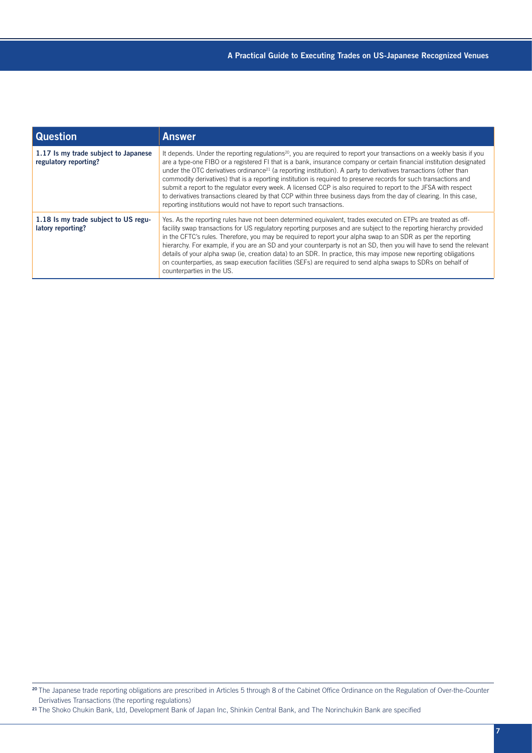| <b>Question</b>                                               | <b>Answer</b>                                                                                                                                                                                                                                                                                                                                                                                                                                                                                                                                                                                                                                                                                                                                                                                                                |
|---------------------------------------------------------------|------------------------------------------------------------------------------------------------------------------------------------------------------------------------------------------------------------------------------------------------------------------------------------------------------------------------------------------------------------------------------------------------------------------------------------------------------------------------------------------------------------------------------------------------------------------------------------------------------------------------------------------------------------------------------------------------------------------------------------------------------------------------------------------------------------------------------|
| 1.17 Is my trade subject to Japanese<br>regulatory reporting? | It depends. Under the reporting regulations <sup>20</sup> , you are required to report your transactions on a weekly basis if you<br>are a type-one FIBO or a registered FI that is a bank, insurance company or certain financial institution designated<br>under the OTC derivatives ordinance <sup>21</sup> (a reporting institution). A party to derivatives transactions (other than<br>commodity derivatives) that is a reporting institution is required to preserve records for such transactions and<br>submit a report to the regulator every week. A licensed CCP is also required to report to the JFSA with respect<br>to derivatives transactions cleared by that CCP within three business days from the day of clearing. In this case,<br>reporting institutions would not have to report such transactions. |
| 1.18 Is my trade subject to US regu-<br>latory reporting?     | Yes. As the reporting rules have not been determined equivalent, trades executed on ETPs are treated as off-<br>facility swap transactions for US regulatory reporting purposes and are subject to the reporting hierarchy provided<br>in the CFTC's rules. Therefore, you may be required to report your alpha swap to an SDR as per the reporting<br>hierarchy. For example, if you are an SD and your counterparty is not an SD, then you will have to send the relevant<br>details of your alpha swap (ie, creation data) to an SDR. In practice, this may impose new reporting obligations<br>on counterparties, as swap execution facilities (SEFs) are required to send alpha swaps to SDRs on behalf of<br>counterparties in the US.                                                                                 |

<sup>&</sup>lt;sup>20</sup> The Japanese trade reporting obligations are prescribed in Articles 5 through 8 of the Cabinet Office Ordinance on the Regulation of Over-the-Counter Derivatives Transactions (the reporting regulations)

<sup>&</sup>lt;sup>21</sup> The Shoko Chukin Bank, Ltd, Development Bank of Japan Inc, Shinkin Central Bank, and The Norinchukin Bank are specified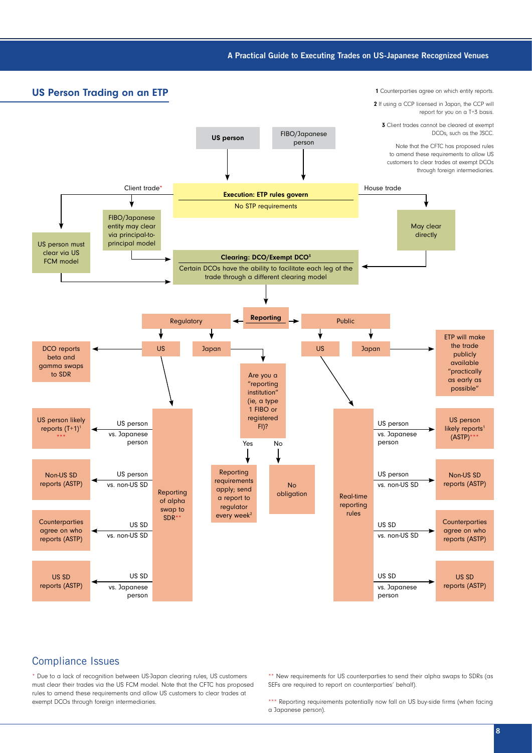#### A Practical Guide to Executing Trades on US-Japanese Recognized Venues

US Person Trading on an ETP 1 Counterparties agree on which entity reports 2 If using a CCP licensed in Japan, the CCP will report for you on a T+3 basis. **3** Client trades cannot be cleared at exempt FIBO/Japanese DCOs, such as the JSCC. US person PIBO/Japar Note that the CFTC has proposed rules to amend these requirements to allow US customers to clear trades at exempt DCOs through foreign intermediaries. **Client trade\* House trade House trade House trade** Execution: ETP rules govern No STP requirements FIBO/Japanese entity may clear May clear via principal-todirectly US person must principal model clear via US Clearing: DCO/Exempt DCO3 FCM model Certain DCOs have the ability to facilitate each leg of the trade through a different clearing model Reporting Public Regulatory ↓ ♦ ╈ ETP will make the trade DCO reports US Japan <del>was defined as a state of the US of Dapan</del> publicly beta and available gamma swaps "practically to SDR Are you a as early as "reporting possible" institution" (ie, a type 1 FIBO or registered US person US person likely US person US person  $F1$ )? reports  $(T+1)^1$ likely reports<sup>1</sup> vs. Japanese vs. Japanese  $(ASTP)$ \*\*\* \*\*\* person person Yes No Reporting Non-US SD US person US person Non-US SD requirements reports (ASTP) vs. non-US SD vs. non-US SD reports (ASTP) No apply; send Reporting obligation Real-time a report to of alpha reporting regulator swap to every week $2$ rules $SDR*$ **Counterparties** Counterparties US SD US SD agree on who agree on who vs. non-US SD vs. non-US SD reports (ASTP) reports (ASTP) US SD US SD US SD US SD reports (ASTP) reports (ASTP) vs. Japanese vs. Japanese person person

### Compliance Issues

\* Due to a lack of recognition between US-Japan clearing rules, US customers must clear their trades via the US FCM model. Note that the CFTC has proposed rules to amend these requirements and allow US customers to clear trades at exempt DCOs through foreign intermediaries.

\*\* New requirements for US counterparties to send their alpha swaps to SDRs (as SEFs are required to report on counterparties' behalf).

\*\*\* Reporting requirements potentially now fall on US buy-side firms (when facing a Japanese person).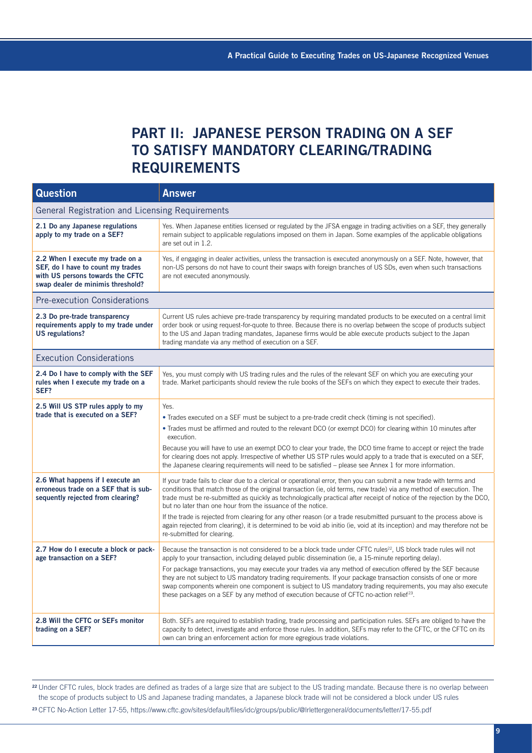### **PART II: JAPANESE PERSON TRADING ON A SEF TO SATISFY MANDATORY CLEARING/TRADING REQUIREMENTS**

| <b>Question</b>                                                                                                                                | <b>Answer</b>                                                                                                                                                                                                                                                                                                                                                                                                                                                                                                                                                                                                                                                                                                           |  |  |
|------------------------------------------------------------------------------------------------------------------------------------------------|-------------------------------------------------------------------------------------------------------------------------------------------------------------------------------------------------------------------------------------------------------------------------------------------------------------------------------------------------------------------------------------------------------------------------------------------------------------------------------------------------------------------------------------------------------------------------------------------------------------------------------------------------------------------------------------------------------------------------|--|--|
| General Registration and Licensing Requirements                                                                                                |                                                                                                                                                                                                                                                                                                                                                                                                                                                                                                                                                                                                                                                                                                                         |  |  |
| 2.1 Do any Japanese regulations<br>apply to my trade on a SEF?                                                                                 | Yes. When Japanese entities licensed or regulated by the JFSA engage in trading activities on a SEF, they generally<br>remain subject to applicable regulations imposed on them in Japan. Some examples of the applicable obligations<br>are set out in 1.2.                                                                                                                                                                                                                                                                                                                                                                                                                                                            |  |  |
| 2.2 When I execute my trade on a<br>SEF, do I have to count my trades<br>with US persons towards the CFTC<br>swap dealer de minimis threshold? | Yes, if engaging in dealer activities, unless the transaction is executed anonymously on a SEF. Note, however, that<br>non-US persons do not have to count their swaps with foreign branches of US SDs, even when such transactions<br>are not executed anonymously.                                                                                                                                                                                                                                                                                                                                                                                                                                                    |  |  |
| <b>Pre-execution Considerations</b>                                                                                                            |                                                                                                                                                                                                                                                                                                                                                                                                                                                                                                                                                                                                                                                                                                                         |  |  |
| 2.3 Do pre-trade transparency<br>requirements apply to my trade under<br>US regulations?                                                       | Current US rules achieve pre-trade transparency by requiring mandated products to be executed on a central limit<br>order book or using request-for-quote to three. Because there is no overlap between the scope of products subject<br>to the US and Japan trading mandates, Japanese firms would be able execute products subject to the Japan<br>trading mandate via any method of execution on a SEF.                                                                                                                                                                                                                                                                                                              |  |  |
| <b>Execution Considerations</b>                                                                                                                |                                                                                                                                                                                                                                                                                                                                                                                                                                                                                                                                                                                                                                                                                                                         |  |  |
| 2.4 Do I have to comply with the SEF<br>rules when I execute my trade on a<br>SEF?                                                             | Yes, you must comply with US trading rules and the rules of the relevant SEF on which you are executing your<br>trade. Market participants should review the rule books of the SEFs on which they expect to execute their trades.                                                                                                                                                                                                                                                                                                                                                                                                                                                                                       |  |  |
| 2.5 Will US STP rules apply to my<br>trade that is executed on a SEF?                                                                          | Yes.<br>• Trades executed on a SEF must be subject to a pre-trade credit check (timing is not specified).<br>. Trades must be affirmed and routed to the relevant DCO (or exempt DCO) for clearing within 10 minutes after<br>execution.<br>Because you will have to use an exempt DCO to clear your trade, the DCO time frame to accept or reject the trade<br>for clearing does not apply. Irrespective of whether US STP rules would apply to a trade that is executed on a SEF,<br>the Japanese clearing requirements will need to be satisfied – please see Annex 1 for more information.                                                                                                                          |  |  |
| 2.6 What happens if I execute an<br>erroneous trade on a SEF that is sub-<br>sequently rejected from clearing?                                 | If your trade fails to clear due to a clerical or operational error, then you can submit a new trade with terms and<br>conditions that match those of the original transaction (ie, old terms, new trade) via any method of execution. The<br>trade must be re-submitted as quickly as technologically practical after receipt of notice of the rejection by the DCO,<br>but no later than one hour from the issuance of the notice.<br>If the trade is rejected from clearing for any other reason (or a trade resubmitted pursuant to the process above is<br>again rejected from clearing), it is determined to be void ab initio (ie, void at its inception) and may therefore not be<br>re-submitted for clearing. |  |  |
| 2.7 How do I execute a block or pack-<br>age transaction on a SEF?                                                                             | Because the transaction is not considered to be a block trade under CFTC rules <sup>22</sup> , US block trade rules will not<br>apply to your transaction, including delayed public dissemination (ie, a 15-minute reporting delay).<br>For package transactions, you may execute your trades via any method of execution offered by the SEF because<br>they are not subject to US mandatory trading requirements. If your package transaction consists of one or more<br>swap components wherein one component is subject to US mandatory trading requirements, you may also execute<br>these packages on a SEF by any method of execution because of CFTC no-action relief <sup>23</sup> .                            |  |  |
| 2.8 Will the CFTC or SEFs monitor<br>trading on a SEF?                                                                                         | Both. SEFs are required to establish trading, trade processing and participation rules. SEFs are obliged to have the<br>capacity to detect, investigate and enforce those rules. In addition, SEFs may refer to the CFTC, or the CFTC on its<br>own can bring an enforcement action for more egregious trade violations.                                                                                                                                                                                                                                                                                                                                                                                                |  |  |

<sup>22</sup> Under CFTC rules, block trades are defined as trades of a large size that are subject to the US trading mandate. Because there is no overlap between the scope of products subject to US and Japanese trading mandates, a Japanese block trade will not be considered a block under US rules

<sup>23</sup>[CFTC No-Action Letter 17-55, https://www.cftc.gov/sites/default/files/idc/groups/public/@lrlettergeneral/documents/letter/17-55.pdf](https://www.cftc.gov/sites/default/files/idc/groups/public/@lrlettergeneral/documents/letter/17-55.pdf)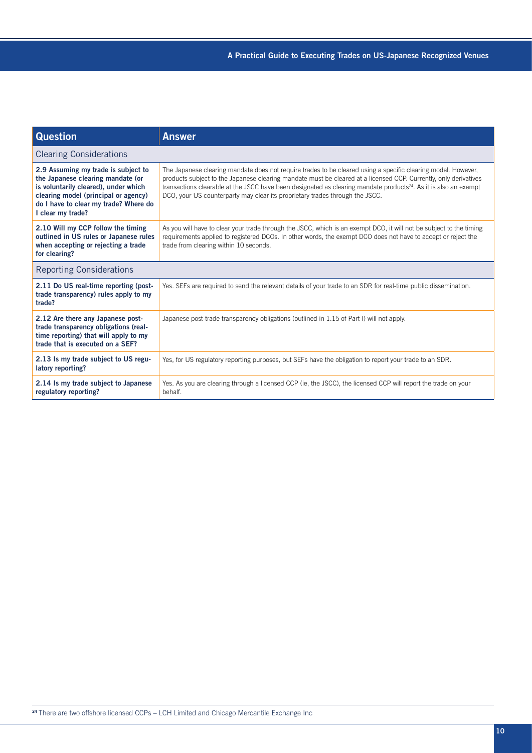| <b>Question</b>                                                                                                                                                                                                        | <b>Answer</b>                                                                                                                                                                                                                                                                                                                                                                                                                                     |  |
|------------------------------------------------------------------------------------------------------------------------------------------------------------------------------------------------------------------------|---------------------------------------------------------------------------------------------------------------------------------------------------------------------------------------------------------------------------------------------------------------------------------------------------------------------------------------------------------------------------------------------------------------------------------------------------|--|
| <b>Clearing Considerations</b>                                                                                                                                                                                         |                                                                                                                                                                                                                                                                                                                                                                                                                                                   |  |
| 2.9 Assuming my trade is subject to<br>the Japanese clearing mandate (or<br>is voluntarily cleared), under which<br>clearing model (principal or agency)<br>do I have to clear my trade? Where do<br>I clear my trade? | The Japanese clearing mandate does not require trades to be cleared using a specific clearing model. However,<br>products subject to the Japanese clearing mandate must be cleared at a licensed CCP. Currently, only derivatives<br>transactions clearable at the JSCC have been designated as clearing mandate products <sup>24</sup> . As it is also an exempt<br>DCO, your US counterparty may clear its proprietary trades through the JSCC. |  |
| 2.10 Will my CCP follow the timing<br>outlined in US rules or Japanese rules<br>when accepting or rejecting a trade<br>for clearing?                                                                                   | As you will have to clear your trade through the JSCC, which is an exempt DCO, it will not be subject to the timing<br>requirements applied to registered DCOs. In other words, the exempt DCO does not have to accept or reject the<br>trade from clearing within 10 seconds.                                                                                                                                                                    |  |
| <b>Reporting Considerations</b>                                                                                                                                                                                        |                                                                                                                                                                                                                                                                                                                                                                                                                                                   |  |
| 2.11 Do US real-time reporting (post-<br>trade transparency) rules apply to my<br>trade?                                                                                                                               | Yes. SEFs are required to send the relevant details of your trade to an SDR for real-time public dissemination.                                                                                                                                                                                                                                                                                                                                   |  |
| 2.12 Are there any Japanese post-<br>trade transparency obligations (real-<br>time reporting) that will apply to my<br>trade that is executed on a SEF?                                                                | Japanese post-trade transparency obligations (outlined in 1.15 of Part I) will not apply.                                                                                                                                                                                                                                                                                                                                                         |  |
| 2.13 Is my trade subject to US regu-<br>latory reporting?                                                                                                                                                              | Yes, for US regulatory reporting purposes, but SEFs have the obligation to report your trade to an SDR.                                                                                                                                                                                                                                                                                                                                           |  |
| 2.14 Is my trade subject to Japanese<br>regulatory reporting?                                                                                                                                                          | Yes. As you are clearing through a licensed CCP (ie, the JSCC), the licensed CCP will report the trade on your<br>behalf.                                                                                                                                                                                                                                                                                                                         |  |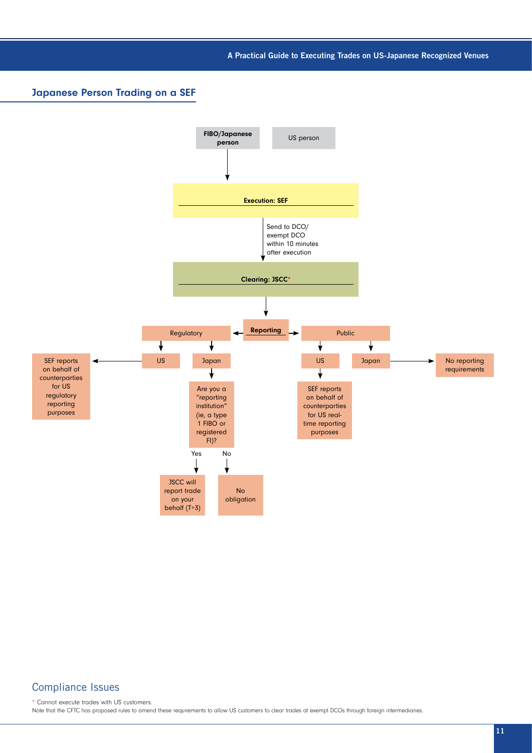A Practical Guide to Executing Trades on US-Japanese Recognized Venues

### Japanese Person Trading on a SEF



### Compliance Issues

\* Cannot execute trades with US customers. Note that the CFTC has proposed rules to amend these requirements to allow US customers to clear trades at exempt DCOs through foreign intermediaries.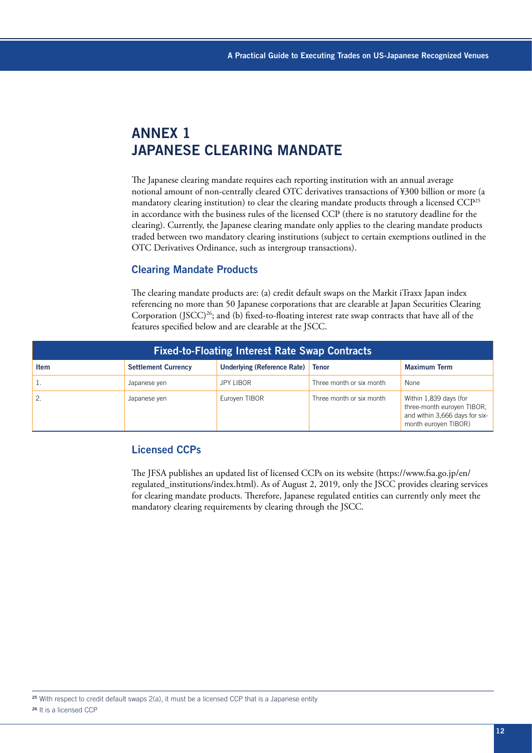## **ANNEX 1 JAPANESE CLEARING MANDATE**

The Japanese clearing mandate requires each reporting institution with an annual average notional amount of non-centrally cleared OTC derivatives transactions of ¥300 billion or more (a mandatory clearing institution) to clear the clearing mandate products through a licensed CCP25 in accordance with the business rules of the licensed CCP (there is no statutory deadline for the clearing). Currently, the Japanese clearing mandate only applies to the clearing mandate products traded between two mandatory clearing institutions (subject to certain exemptions outlined in the OTC Derivatives Ordinance, such as intergroup transactions).

#### Clearing Mandate Products

The clearing mandate products are: (a) credit default swaps on the Markit iTraxx Japan index referencing no more than 50 Japanese corporations that are clearable at Japan Securities Clearing Corporation (JSCC)<sup>26</sup>; and (b) fixed-to-floating interest rate swap contracts that have all of the features specified below and are clearable at the JSCC.

| <b>Fixed-to-Floating Interest Rate Swap Contracts</b> |                            |                                    |                          |                                                                                                                |  |
|-------------------------------------------------------|----------------------------|------------------------------------|--------------------------|----------------------------------------------------------------------------------------------------------------|--|
| <b>Item</b>                                           | <b>Settlement Currency</b> | <b>Underlying (Reference Rate)</b> | <b>Tenor</b>             | <b>Maximum Term</b>                                                                                            |  |
|                                                       | Japanese yen               | JPY LIBOR                          | Three month or six month | None                                                                                                           |  |
|                                                       | Japanese yen               | Euroyen TIBOR                      | Three month or six month | Within 1,839 days (for<br>three-month euroyen TIBOR,<br>and within 3,666 days for six-<br>month euroyen TIBOR) |  |

### Licensed CCPs

The JFSA publishes an updated list of licensed CCPs on its website [\(https://www.fsa.go.jp/en/](https://www.fsa.go.jp/en/regulated_institutions/index.html) [regulated\\_institutions/index.html\)](https://www.fsa.go.jp/en/regulated_institutions/index.html). As of August 2, 2019, only the JSCC provides clearing services for clearing mandate products. Therefore, Japanese regulated entities can currently only meet the mandatory clearing requirements by clearing through the JSCC.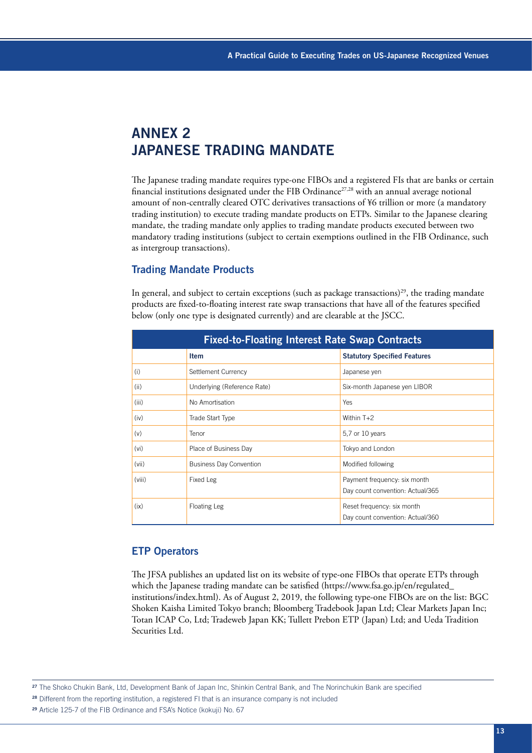### **ANNEX 2 JAPANESE TRADING MANDATE**

The Japanese trading mandate requires type-one FIBOs and a registered FIs that are banks or certain financial institutions designated under the FIB Ordinance<sup>27,28</sup> with an annual average notional amount of non-centrally cleared OTC derivatives transactions of ¥6 trillion or more (a mandatory trading institution) to execute trading mandate products on ETPs. Similar to the Japanese clearing mandate, the trading mandate only applies to trading mandate products executed between two mandatory trading institutions (subject to certain exemptions outlined in the FIB Ordinance, such as intergroup transactions).

### Trading Mandate Products

In general, and subject to certain exceptions (such as package transactions)<sup>29</sup>, the trading mandate products are fixed-to-floating interest rate swap transactions that have all of the features specified below (only one type is designated currently) and are clearable at the JSCC.

| <b>Fixed-to-Floating Interest Rate Swap Contracts</b> |                                |                                                                  |  |
|-------------------------------------------------------|--------------------------------|------------------------------------------------------------------|--|
|                                                       | <b>Item</b>                    | <b>Statutory Specified Features</b>                              |  |
| (i)                                                   | Settlement Currency            | Japanese yen                                                     |  |
| (ii)                                                  | Underlying (Reference Rate)    | Six-month Japanese yen LIBOR                                     |  |
| (iii)                                                 | No Amortisation                | Yes                                                              |  |
| (iv)                                                  | Trade Start Type               | Within $T+2$                                                     |  |
| (v)                                                   | Tenor                          | 5,7 or 10 years                                                  |  |
| (vi)                                                  | Place of Business Day          | Tokyo and London                                                 |  |
| (vii)                                                 | <b>Business Day Convention</b> | Modified following                                               |  |
| (viii)                                                | Fixed Leg                      | Payment frequency: six month<br>Day count convention: Actual/365 |  |
| (ix)                                                  | Floating Leg                   | Reset frequency: six month<br>Day count convention: Actual/360   |  |

#### ETP Operators

The JFSA publishes an updated list on its website of type-one FIBOs that operate ETPs through which the Japanese trading mandate can be satisfied (https://www.fsa.go.jp/en/regulated\_ institutions/index.html). As of August 2, 2019, the following type-one FIBOs are on the list: BGC Shoken Kaisha Limited Tokyo branch; Bloomberg Tradebook Japan Ltd; Clear Markets Japan Inc; Totan ICAP Co, Ltd; Tradeweb Japan KK; Tullett Prebon ETP (Japan) Ltd; and Ueda Tradition Securities Ltd.

<sup>27</sup> The Shoko Chukin Bank, Ltd, Development Bank of Japan Inc, Shinkin Central Bank, and The Norinchukin Bank are specified

28 Different from the reporting institution, a registered FI that is an insurance company is not included

<sup>29</sup> Article 125-7 of the FIB Ordinance and FSA's Notice (kokuji) No. 67